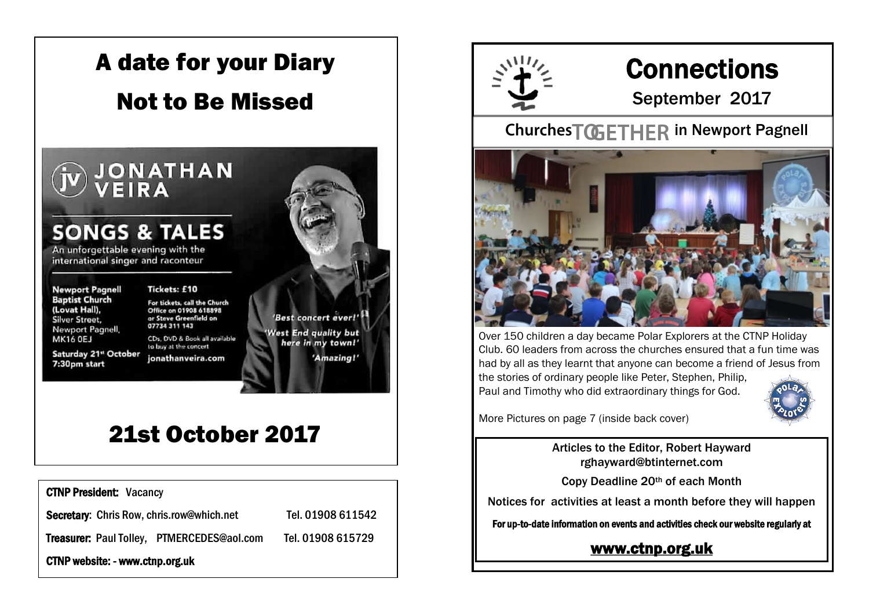

# 21st October 2017

CTNP President: Vacancy

Secretary: Chris Row, chris.row@which.net Tel. 01908 611542

Treasurer: Paul Tolley, PTMERCEDES@aol.com Tel. 01908 615729

CTNP website: - www.ctnp.org.uk



# **Connections**

September 2017

#### Churches TOGETHER in Newport Pagnell



Over 150 children a day became Polar Explorers at the CTNP Holiday Club. 60 leaders from across the churches ensured that a fun time was had by all as they learnt that anyone can become a friend of Jesus from the stories of ordinary people like Peter, Stephen, Philip,

Paul and Timothy who did extraordinary things for God.



More Pictures on page 7 (inside back cover)

Articles to the Editor, Robert Hayward rghayward@btinternet.com

Copy Deadline 20th of each Month

Notices for activities at least a month before they will happen

For up-to-date information on events and activities check our website regularly at

[www.ctnp.org.uk](http://www.ctnp.org.uk)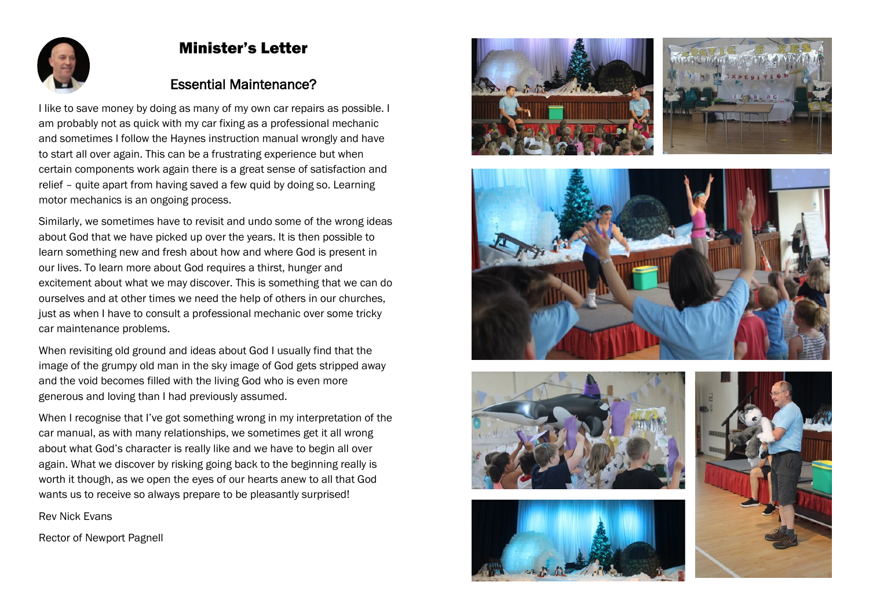

#### Minister's Letter

#### Essential Maintenance?

I like to save money by doing as many of my own car repairs as possible. I am probably not as quick with my car fixing as a professional mechanic and sometimes I follow the Haynes instruction manual wrongly and have to start all over again. This can be a frustrating experience but when certain components work again there is a great sense of satisfaction and relief – quite apart from having saved a few quid by doing so. Learning motor mechanics is an ongoing process.

Similarly, we sometimes have to revisit and undo some of the wrong ideas about God that we have picked up over the years. It is then possible to learn something new and fresh about how and where God is present in our lives. To learn more about God requires a thirst, hunger and excitement about what we may discover. This is something that we can do ourselves and at other times we need the help of others in our churches, just as when I have to consult a professional mechanic over some tricky car maintenance problems.

When revisiting old ground and ideas about God I usually find that the image of the grumpy old man in the sky image of God gets stripped away and the void becomes filled with the living God who is even more generous and loving than I had previously assumed.

When I recognise that I've got something wrong in my interpretation of the car manual, as with many relationships, we sometimes get it all wrong about what God's character is really like and we have to begin all over again. What we discover by risking going back to the beginning really is worth it though, as we open the eyes of our hearts anew to all that God wants us to receive so always prepare to be pleasantly surprised!

Rev Nick Evans

Rector of Newport Pagnell











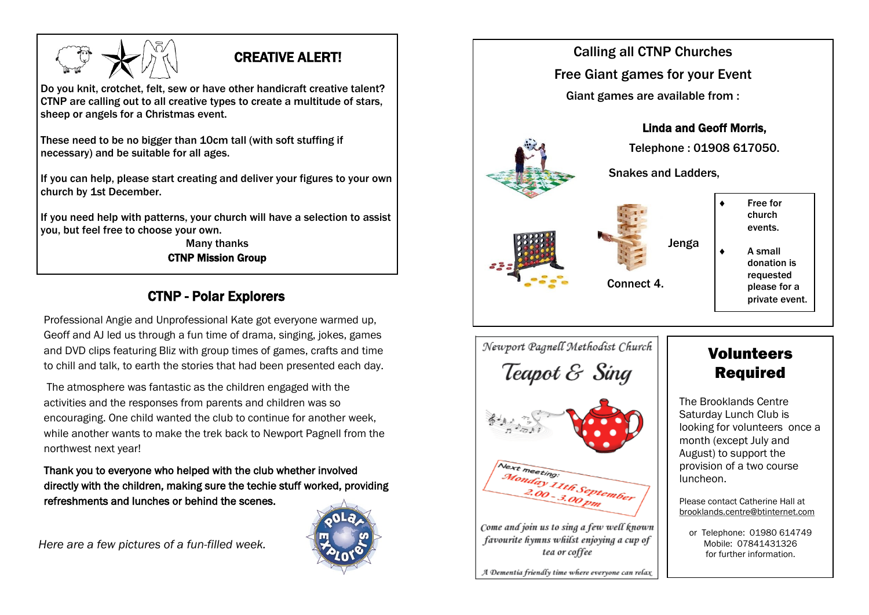#### CREATIVE ALERT!

Do you knit, crotchet, felt, sew or have other handicraft creative talent? CTNP are calling out to all creative types to create a multitude of stars, sheep or angels for a Christmas event.

These need to be no bigger than 10cm tall (with soft stuffing if necessary) and be suitable for all ages.

If you can help, please start creating and deliver your figures to your own church by 1st December.

If you need help with patterns, your church will have a selection to assist you, but feel free to choose your own.

Many thanks CTNP Mission Group

#### CTNP - Polar Explorers

Professional Angie and Unprofessional Kate got everyone warmed up, Geoff and AJ led us through a fun time of drama, singing, jokes, games and DVD clips featuring Bliz with group times of games, crafts and time to chill and talk, to earth the stories that had been presented each day.

The atmosphere was fantastic as the children engaged with the activities and the responses from parents and children was so encouraging. One child wanted the club to continue for another week, while another wants to make the trek back to Newport Pagnell from the northwest next year!

Thank you to everyone who helped with the club whether involved directly with the children, making sure the techie stuff worked, providing refreshments and lunches or behind the scenes.

*Here are a few pictures of a fun-filled week.*





Newport Pagnell Methodist Church Teapot & Sing





Come and join us to sing a few well known favourite hymns whilst enjoying a cup of tea or coffee

A Dementia friendly time where everyone can relax

### Volunteers Required

The Brooklands Centre Saturday Lunch Club is looking for volunteers once a month (except July and August) to support the provision of a two course luncheon.

Please contact Catherine Hall at [brooklands.centre@btinternet.com](mailto:brooklands.centre@btinternet.com)

or Telephone: 01980 614749 Mobile: 07841431326 for further information.